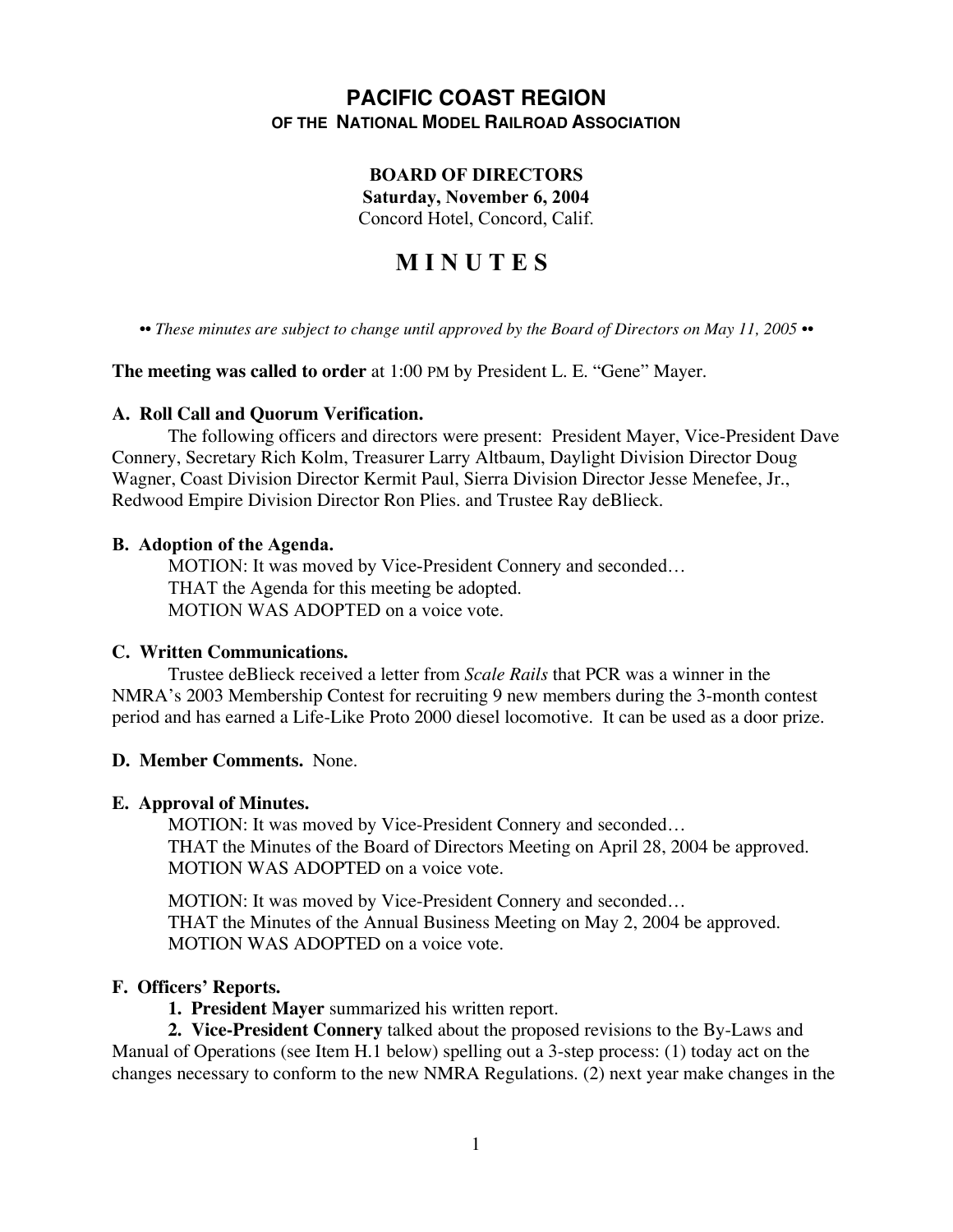# **PACIFIC COAST REGION OF THE NATIONAL MODEL RAILROAD ASSOCIATION**

# **BOARD OF DIRECTORS**

**Saturday, November 6, 2004**

Concord Hotel, Concord, Calif.

# **M I N U T E S**

•• These minutes are subject to change until approved by the Board of Directors on May 11, 2005 ••

**The meeting was called to order** at 1:00 PM by President L. E. "Gene" Mayer.

### **A. Roll Call and Quorum Verification.**

The following officers and directors were present: President Mayer, Vice-President Dave Connery, Secretary Rich Kolm, Treasurer Larry Altbaum, Daylight Division Director Doug Wagner, Coast Division Director Kermit Paul, Sierra Division Director Jesse Menefee, Jr., Redwood Empire Division Director Ron Plies. and Trustee Ray deBlieck.

#### **B. Adoption of the Agenda.**

MOTION: It was moved by Vice-President Connery and seconded… THAT the Agenda for this meeting be adopted. MOTION WAS ADOPTED on a voice vote.

### **C. Written Communications.**

Trustee deBlieck received a letter from *Scale Rails* that PCR was a winner in the NMRA's 2003 Membership Contest for recruiting 9 new members during the 3-month contest period and has earned a Life-Like Proto 2000 diesel locomotive. It can be used as a door prize.

### **D. Member Comments.** None.

### **E. Approval of Minutes.**

MOTION: It was moved by Vice-President Connery and seconded… THAT the Minutes of the Board of Directors Meeting on April 28, 2004 be approved. MOTION WAS ADOPTED on a voice vote.

MOTION: It was moved by Vice-President Connery and seconded… THAT the Minutes of the Annual Business Meeting on May 2, 2004 be approved. MOTION WAS ADOPTED on a voice vote.

### **F. Officers' Reports.**

**1. President Mayer** summarized his written report.

**2. Vice-President Connery** talked about the proposed revisions to the By-Laws and Manual of Operations (see Item H.1 below) spelling out a 3-step process: (1) today act on the changes necessary to conform to the new NMRA Regulations. (2) next year make changes in the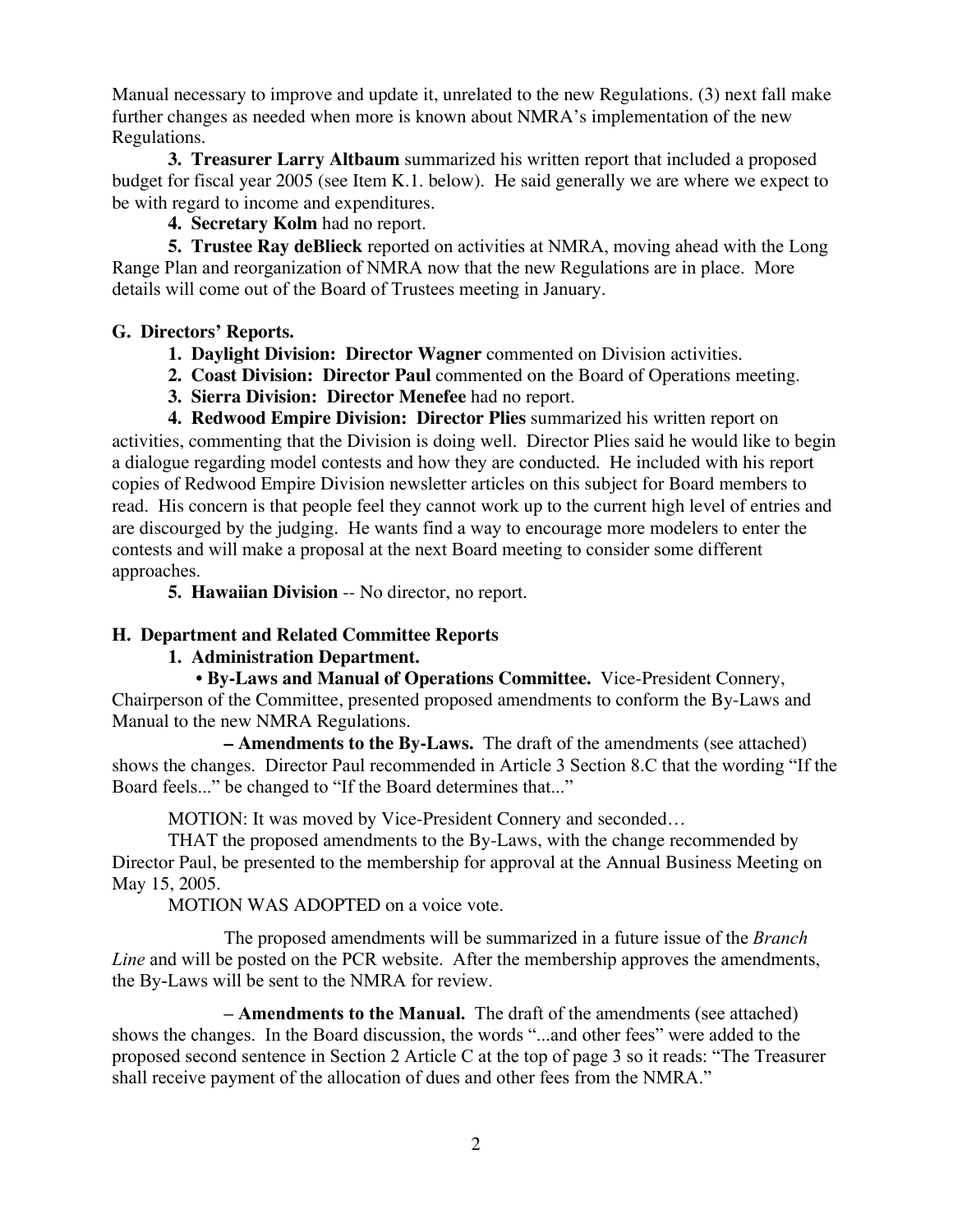Manual necessary to improve and update it, unrelated to the new Regulations. (3) next fall make further changes as needed when more is known about NMRA's implementation of the new Regulations.

**3. Treasurer Larry Altbaum** summarized his written report that included a proposed budget for fiscal year 2005 (see Item K.1. below). He said generally we are where we expect to be with regard to income and expenditures.

**4. Secretary Kolm** had no report.

**5. Trustee Ray deBlieck** reported on activities at NMRA, moving ahead with the Long Range Plan and reorganization of NMRA now that the new Regulations are in place. More details will come out of the Board of Trustees meeting in January.

# **G. Directors' Reports.**

- **1. Daylight Division: Director Wagner** commented on Division activities.
- **2. Coast Division: Director Paul** commented on the Board of Operations meeting.
- **3. Sierra Division: Director Menefee** had no report.

**4. Redwood Empire Division: Director Plies** summarized his written report on activities, commenting that the Division is doing well. Director Plies said he would like to begin a dialogue regarding model contests and how they are conducted. He included with his report copies of Redwood Empire Division newsletter articles on this subject for Board members to read. His concern is that people feel they cannot work up to the current high level of entries and are discourged by the judging. He wants find a way to encourage more modelers to enter the contests and will make a proposal at the next Board meeting to consider some different approaches.

**5. Hawaiian Division** -- No director, no report.

# **H. Department and Related Committee Reports**

# **1. Administration Department.**

• **By-Laws and Manual of Operations Committee.** Vice-President Connery, Chairperson of the Committee, presented proposed amendments to conform the By-Laws and Manual to the new NMRA Regulations.

**– Amendments to the By-Laws.** The draft of the amendments (see attached) shows the changes. Director Paul recommended in Article 3 Section 8.C that the wording "If the Board feels..." be changed to "If the Board determines that..."

MOTION: It was moved by Vice-President Connery and seconded…

THAT the proposed amendments to the By-Laws, with the change recommended by Director Paul, be presented to the membership for approval at the Annual Business Meeting on May 15, 2005.

MOTION WAS ADOPTED on a voice vote.

The proposed amendments will be summarized in a future issue of the *Branch Line* and will be posted on the PCR website. After the membership approves the amendments, the By-Laws will be sent to the NMRA for review.

**– Amendments to the Manual.** The draft of the amendments (see attached) shows the changes. In the Board discussion, the words "...and other fees" were added to the proposed second sentence in Section 2 Article C at the top of page 3 so it reads: "The Treasurer shall receive payment of the allocation of dues and other fees from the NMRA."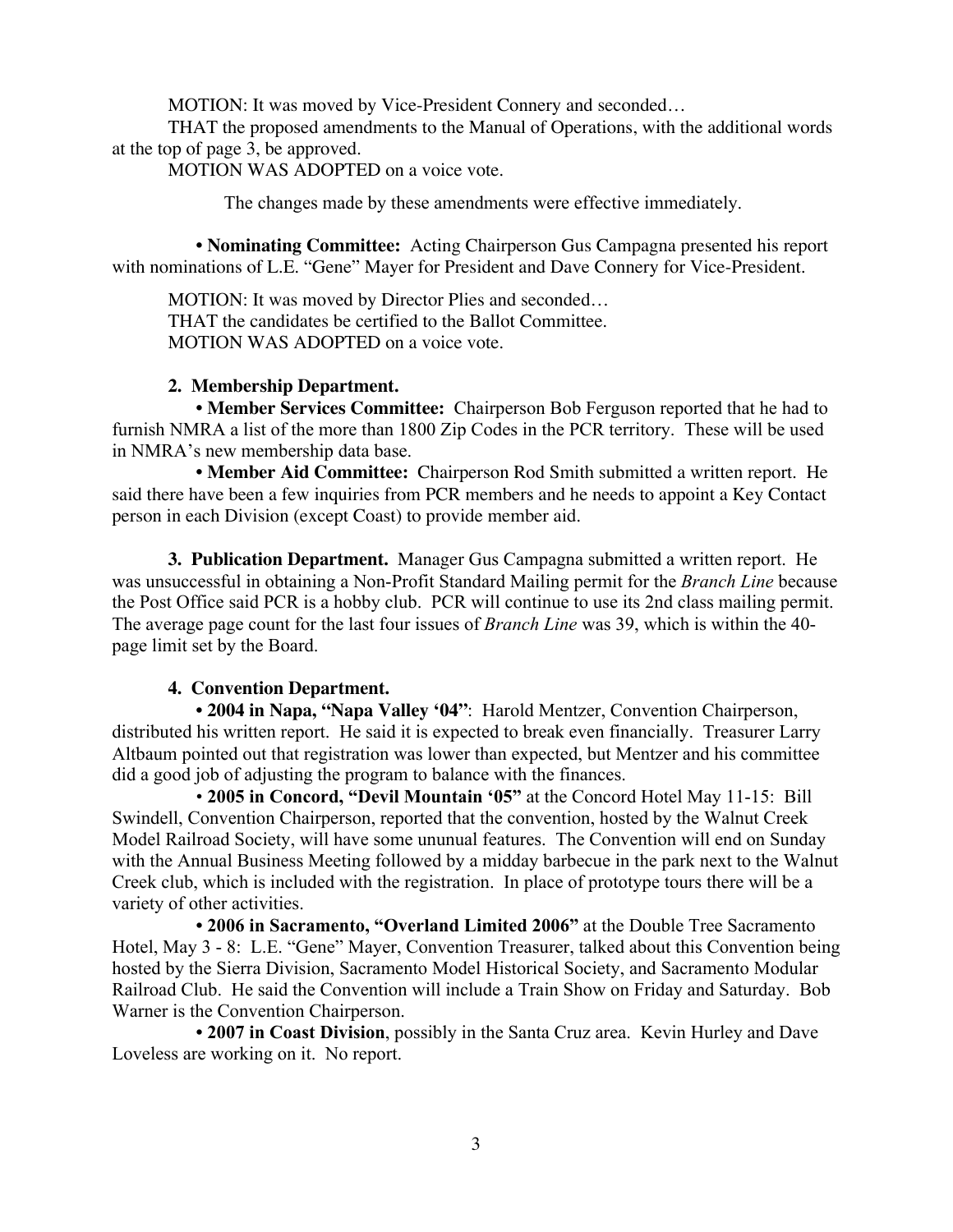MOTION: It was moved by Vice-President Connery and seconded…

THAT the proposed amendments to the Manual of Operations, with the additional words at the top of page 3, be approved.

MOTION WAS ADOPTED on a voice vote.

The changes made by these amendments were effective immediately.

 **• Nominating Committee:** Acting Chairperson Gus Campagna presented his report with nominations of L.E. "Gene" Mayer for President and Dave Connery for Vice-President.

MOTION: It was moved by Director Plies and seconded… THAT the candidates be certified to the Ballot Committee. MOTION WAS ADOPTED on a voice vote.

### **2. Membership Department.**

**• Member Services Committee:** Chairperson Bob Ferguson reported that he had to furnish NMRA a list of the more than 1800 Zip Codes in the PCR territory. These will be used in NMRA's new membership data base.

**• Member Aid Committee:** Chairperson Rod Smith submitted a written report. He said there have been a few inquiries from PCR members and he needs to appoint a Key Contact person in each Division (except Coast) to provide member aid.

**3. Publication Department.** Manager Gus Campagna submitted a written report. He was unsuccessful in obtaining a Non-Profit Standard Mailing permit for the *Branch Line* because the Post Office said PCR is a hobby club. PCR will continue to use its 2nd class mailing permit. The average page count for the last four issues of *Branch Line* was 39, which is within the 40 page limit set by the Board.

### **4. Convention Department.**

• **2004 in Napa, "Napa Valley '04"**: Harold Mentzer, Convention Chairperson, distributed his written report. He said it is expected to break even financially. Treasurer Larry Altbaum pointed out that registration was lower than expected, but Mentzer and his committee did a good job of adjusting the program to balance with the finances.

• **2005 in Concord, "Devil Mountain '05"** at the Concord Hotel May 11-15: Bill Swindell, Convention Chairperson, reported that the convention, hosted by the Walnut Creek Model Railroad Society, will have some ununual features. The Convention will end on Sunday with the Annual Business Meeting followed by a midday barbecue in the park next to the Walnut Creek club, which is included with the registration. In place of prototype tours there will be a variety of other activities.

**• 2006 in Sacramento, "Overland Limited 2006"** at the Double Tree Sacramento Hotel, May 3 - 8: L.E. "Gene" Mayer, Convention Treasurer, talked about this Convention being hosted by the Sierra Division, Sacramento Model Historical Society, and Sacramento Modular Railroad Club. He said the Convention will include a Train Show on Friday and Saturday. Bob Warner is the Convention Chairperson.

**• 2007 in Coast Division**, possibly in the Santa Cruz area. Kevin Hurley and Dave Loveless are working on it. No report.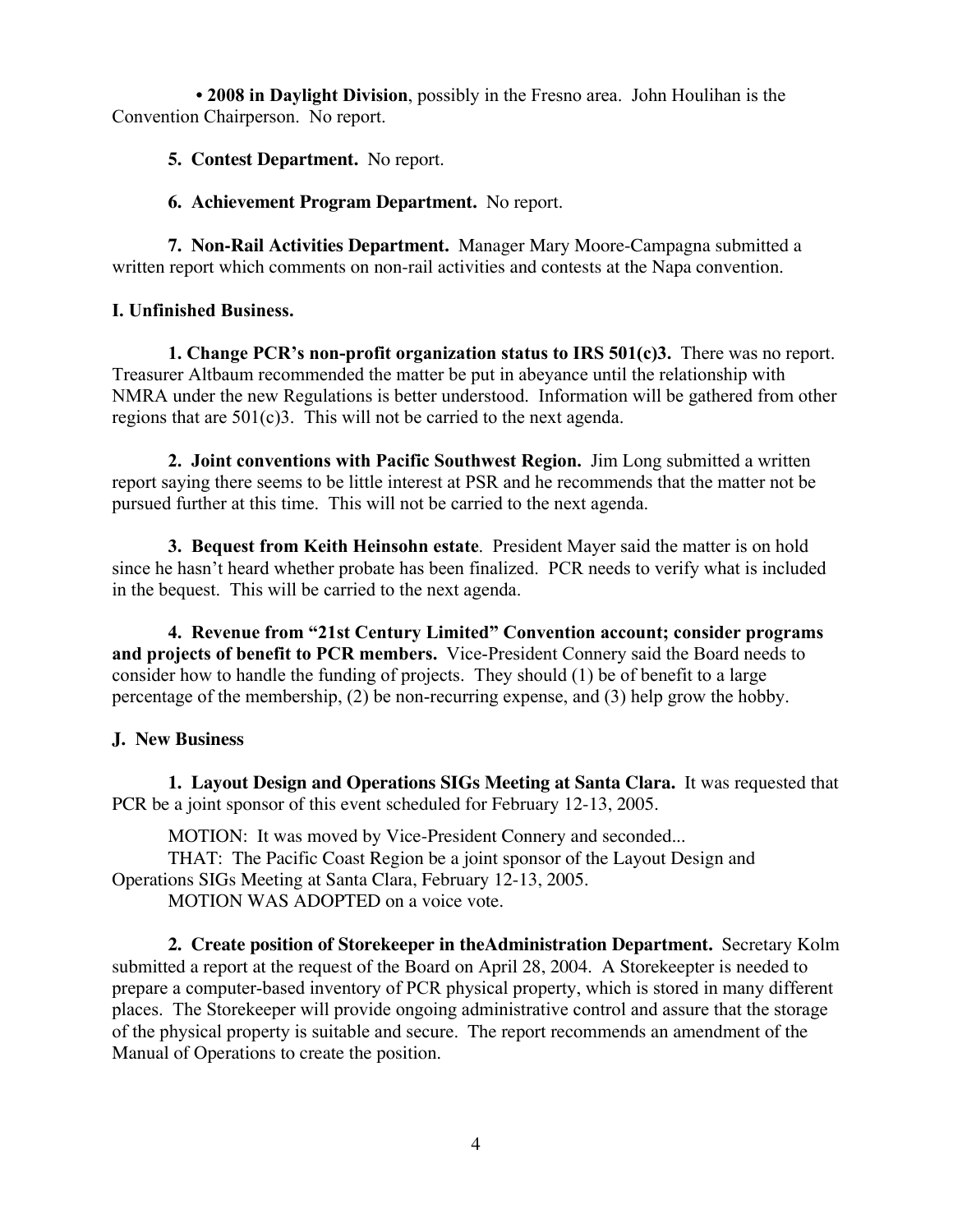**• 2008 in Daylight Division**, possibly in the Fresno area. John Houlihan is the Convention Chairperson. No report.

- **5. Contest Department.** No report.
- **6. Achievement Program Department.** No report.

**7. Non-Rail Activities Department.** Manager Mary Moore-Campagna submitted a written report which comments on non-rail activities and contests at the Napa convention.

## **I. Unfinished Business.**

**1. Change PCR's non-profit organization status to IRS 501(c)3.** There was no report. Treasurer Altbaum recommended the matter be put in abeyance until the relationship with NMRA under the new Regulations is better understood. Information will be gathered from other regions that are  $501(c)3$ . This will not be carried to the next agenda.

**2. Joint conventions with Pacific Southwest Region.** Jim Long submitted a written report saying there seems to be little interest at PSR and he recommends that the matter not be pursued further at this time. This will not be carried to the next agenda.

**3. Bequest from Keith Heinsohn estate**. President Mayer said the matter is on hold since he hasn't heard whether probate has been finalized. PCR needs to verify what is included in the bequest. This will be carried to the next agenda.

**4. Revenue from "21st Century Limited" Convention account; consider programs and projects of benefit to PCR members.** Vice-President Connery said the Board needs to consider how to handle the funding of projects. They should (1) be of benefit to a large percentage of the membership, (2) be non-recurring expense, and (3) help grow the hobby.

# **J. New Business**

**1. Layout Design and Operations SIGs Meeting at Santa Clara.** It was requested that PCR be a joint sponsor of this event scheduled for February 12-13, 2005.

MOTION: It was moved by Vice-President Connery and seconded...

THAT: The Pacific Coast Region be a joint sponsor of the Layout Design and Operations SIGs Meeting at Santa Clara, February 12-13, 2005. MOTION WAS ADOPTED on a voice vote.

**2. Create position of Storekeeper in theAdministration Department.** Secretary Kolm submitted a report at the request of the Board on April 28, 2004. A Storekeepter is needed to prepare a computer-based inventory of PCR physical property, which is stored in many different places. The Storekeeper will provide ongoing administrative control and assure that the storage of the physical property is suitable and secure. The report recommends an amendment of the Manual of Operations to create the position.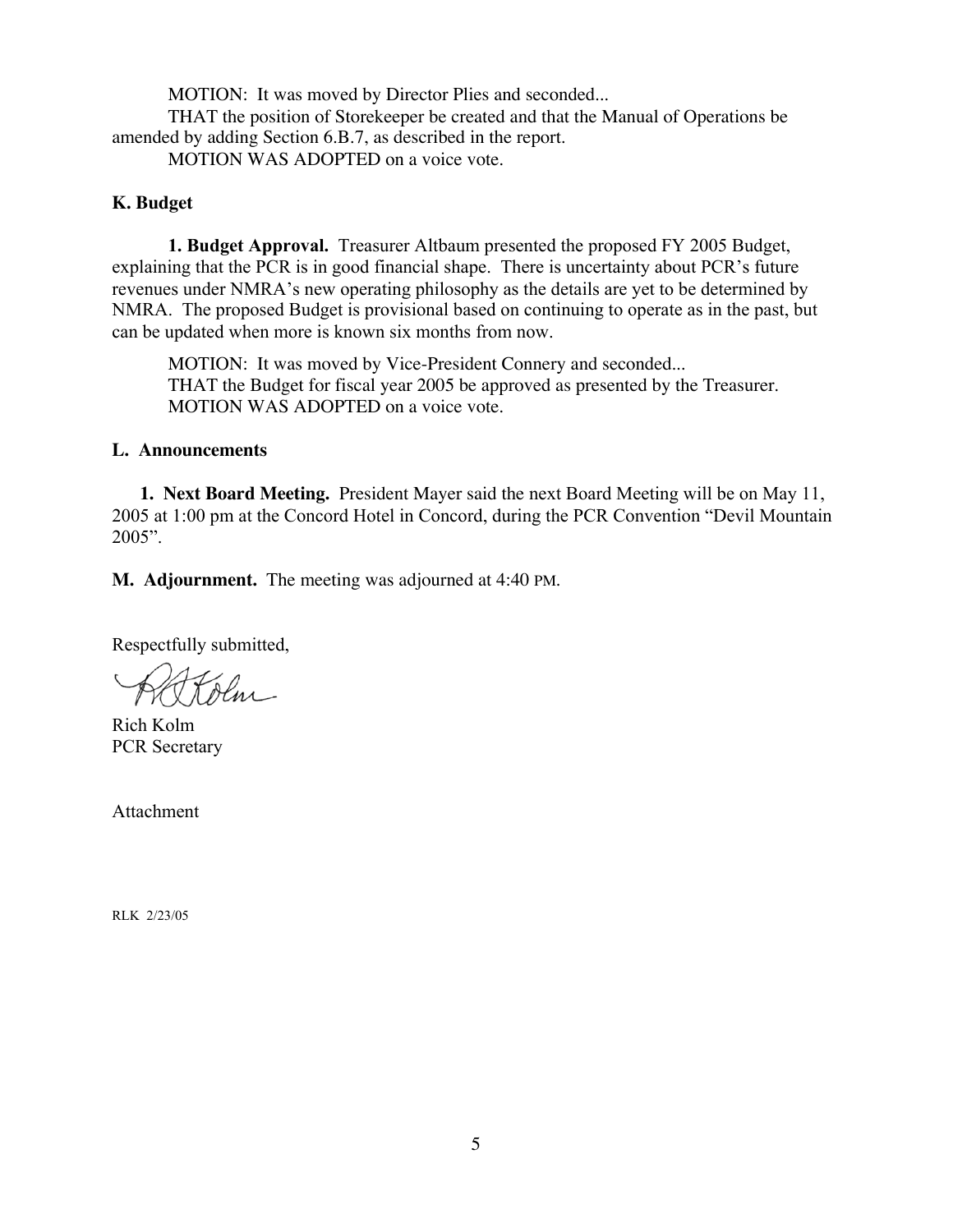MOTION: It was moved by Director Plies and seconded...

THAT the position of Storekeeper be created and that the Manual of Operations be amended by adding Section 6.B.7, as described in the report.

MOTION WAS ADOPTED on a voice vote.

### **K. Budget**

**1. Budget Approval.** Treasurer Altbaum presented the proposed FY 2005 Budget, explaining that the PCR is in good financial shape. There is uncertainty about PCR's future revenues under NMRA's new operating philosophy as the details are yet to be determined by NMRA. The proposed Budget is provisional based on continuing to operate as in the past, but can be updated when more is known six months from now.

MOTION: It was moved by Vice-President Connery and seconded... THAT the Budget for fiscal year 2005 be approved as presented by the Treasurer. MOTION WAS ADOPTED on a voice vote.

### **L. Announcements**

**1. Next Board Meeting.** President Mayer said the next Board Meeting will be on May 11, 2005 at 1:00 pm at the Concord Hotel in Concord, during the PCR Convention "Devil Mountain 2005".

**M. Adjournment.** The meeting was adjourned at 4:40 PM.

Respectfully submitted,

Rich Kolm PCR Secretary

Attachment

RLK 2/23/05